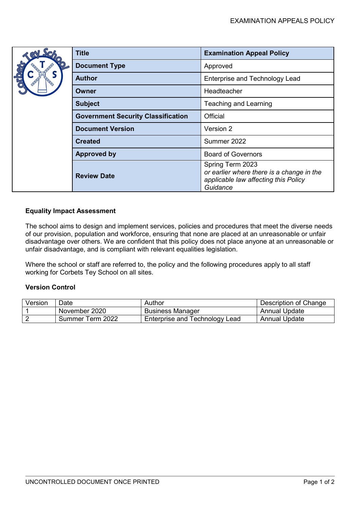|  | <b>Title</b>                              | <b>Examination Appeal Policy</b>                                                                                  |  |
|--|-------------------------------------------|-------------------------------------------------------------------------------------------------------------------|--|
|  | <b>Document Type</b>                      | Approved                                                                                                          |  |
|  | <b>Author</b>                             | <b>Enterprise and Technology Lead</b>                                                                             |  |
|  | Owner                                     | Headteacher                                                                                                       |  |
|  | <b>Subject</b>                            | Teaching and Learning                                                                                             |  |
|  | <b>Government Security Classification</b> | Official                                                                                                          |  |
|  | <b>Document Version</b>                   | Version 2                                                                                                         |  |
|  | <b>Created</b>                            | Summer 2022                                                                                                       |  |
|  | <b>Approved by</b>                        | <b>Board of Governors</b>                                                                                         |  |
|  | <b>Review Date</b>                        | Spring Term 2023<br>or earlier where there is a change in the<br>applicable law affecting this Policy<br>Guidance |  |

## **Equality Impact Assessment**

The school aims to design and implement services, policies and procedures that meet the diverse needs of our provision, population and workforce, ensuring that none are placed at an unreasonable or unfair disadvantage over others. We are confident that this policy does not place anyone at an unreasonable or unfair disadvantage, and is compliant with relevant equalities legislation.

Where the school or staff are referred to, the policy and the following procedures apply to all staff working for Corbets Tey School on all sites.

## **Version Control**

| Version | Date             | Author                         | Description of Change |
|---------|------------------|--------------------------------|-----------------------|
|         | November 2020    | <b>Business Manager</b>        | <b>Annual Update</b>  |
|         | Summer Term 2022 | Enterprise and Technology Lead | <b>Annual Update</b>  |